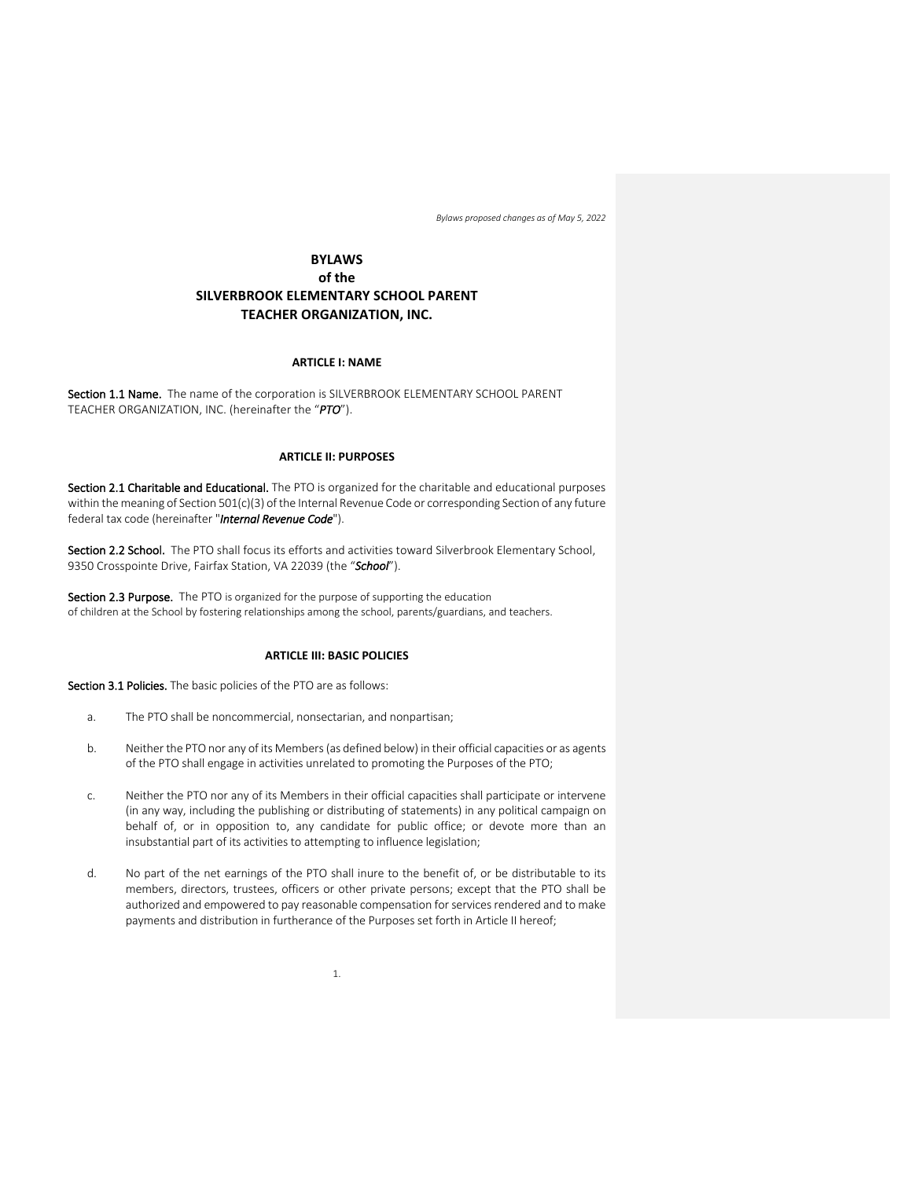# **BYLAWS of the SILVERBROOK ELEMENTARY SCHOOL PARENT TEACHER ORGANIZATION, INC.**

## **ARTICLE I: NAME**

Section 1.1 Name. The name of the corporation is SILVERBROOK ELEMENTARY SCHOOL PARENT TEACHER ORGANIZATION, INC. (hereinafter the "*PTO*").

## **ARTICLE II: PURPOSES**

Section 2.1 Charitable and Educational. The PTO is organized for the charitable and educational purposes within the meaning of Section 501(c)(3) of the Internal Revenue Code or corresponding Section of any future federal tax code (hereinafter "*Internal Revenue Code*").

Section 2.2 School. The PTO shall focus its efforts and activities toward Silverbrook Elementary School, 9350 Crosspointe Drive, Fairfax Station, VA 22039 (the "*School*").

Section 2.3 Purpose. The PTO is organized for the purpose of supporting the education of children at the School by fostering relationships among the school, parents/guardians, and teachers.

## **ARTICLE III: BASIC POLICIES**

Section 3.1 Policies. The basic policies of the PTO are as follows:

- a. The PTO shall be noncommercial, nonsectarian, and nonpartisan;
- b. Neither the PTO nor any of its Members (as defined below) in their official capacities or as agents of the PTO shall engage in activities unrelated to promoting the Purposes of the PTO;
- c. Neither the PTO nor any of its Members in their official capacities shall participate or intervene (in any way, including the publishing or distributing of statements) in any political campaign on behalf of, or in opposition to, any candidate for public office; or devote more than an insubstantial part of its activities to attempting to influence legislation;
- d. No part of the net earnings of the PTO shall inure to the benefit of, or be distributable to its members, directors, trustees, officers or other private persons; except that the PTO shall be authorized and empowered to pay reasonable compensation for services rendered and to make payments and distribution in furtherance of the Purposes set forth in Article II hereof;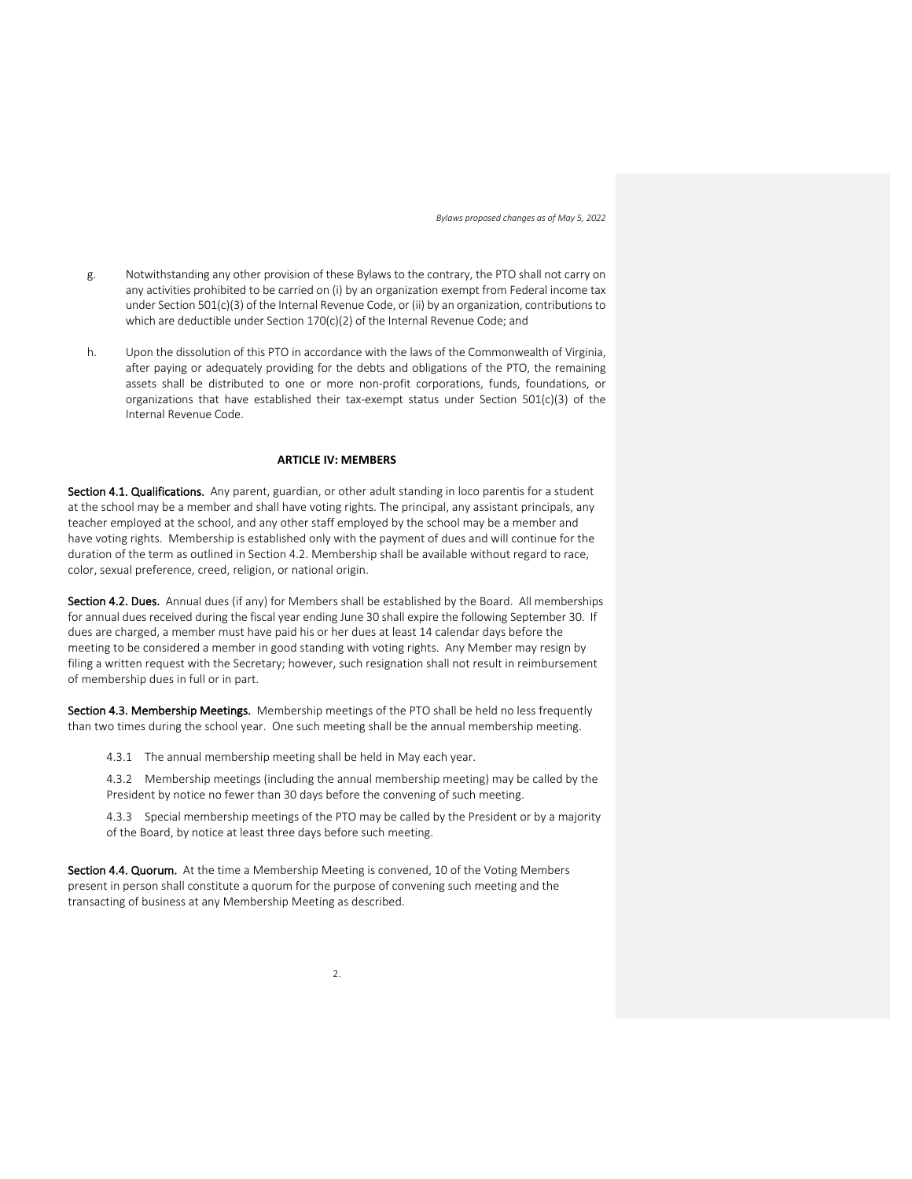- g. Notwithstanding any other provision of these Bylaws to the contrary, the PTO shall not carry on any activities prohibited to be carried on (i) by an organization exempt from Federal income tax under Section 501(c)(3) of the Internal Revenue Code, or (ii) by an organization, contributions to which are deductible under Section 170(c)(2) of the Internal Revenue Code; and
- h. Upon the dissolution of this PTO in accordance with the laws of the Commonwealth of Virginia, after paying or adequately providing for the debts and obligations of the PTO, the remaining assets shall be distributed to one or more non-profit corporations, funds, foundations, or organizations that have established their tax-exempt status under Section 501(c)(3) of the Internal Revenue Code.

## **ARTICLE IV: MEMBERS**

Section 4.1. Qualifications. Any parent, guardian, or other adult standing in loco parentis for a student at the school may be a member and shall have voting rights. The principal, any assistant principals, any teacher employed at the school, and any other staff employed by the school may be a member and have voting rights. Membership is established only with the payment of dues and will continue for the duration of the term as outlined in Section 4.2. Membership shall be available without regard to race, color, sexual preference, creed, religion, or national origin.

Section 4.2. Dues. Annual dues (if any) for Members shall be established by the Board. All memberships for annual dues received during the fiscal year ending June 30 shall expire the following September 30. If dues are charged, a member must have paid his or her dues at least 14 calendar days before the meeting to be considered a member in good standing with voting rights. Any Member may resign by filing a written request with the Secretary; however, such resignation shall not result in reimbursement of membership dues in full or in part.

Section 4.3. Membership Meetings. Membership meetings of the PTO shall be held no less frequently than two times during the school year. One such meeting shall be the annual membership meeting.

4.3.1 The annual membership meeting shall be held in May each year.

4.3.2 Membership meetings (including the annual membership meeting) may be called by the President by notice no fewer than 30 days before the convening of such meeting.

4.3.3 Special membership meetings of the PTO may be called by the President or by a majority of the Board, by notice at least three days before such meeting.

Section 4.4. Quorum. At the time a Membership Meeting is convened, 10 of the Voting Members present in person shall constitute a quorum for the purpose of convening such meeting and the transacting of business at any Membership Meeting as described.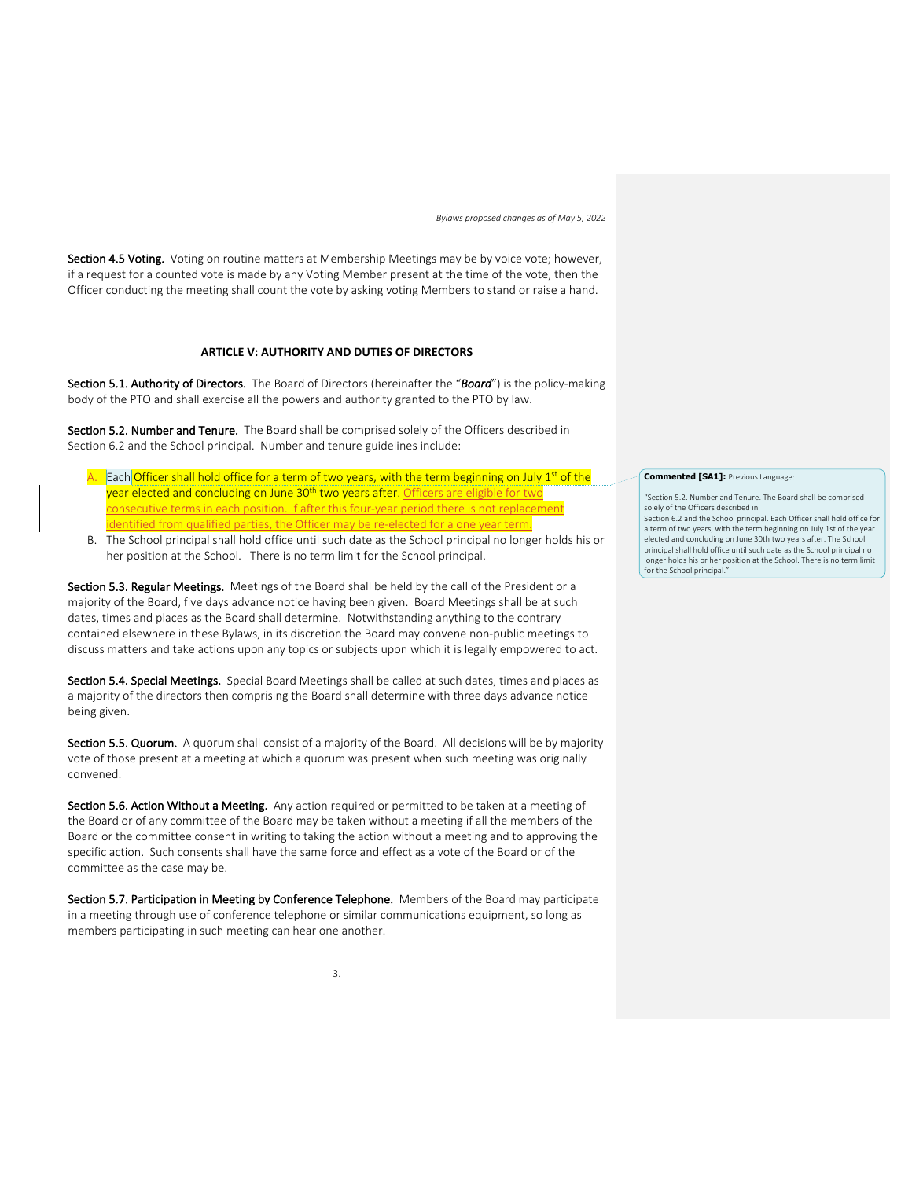Section 4.5 Voting. Voting on routine matters at Membership Meetings may be by voice vote; however, if a request for a counted vote is made by any Voting Member present at the time of the vote, then the Officer conducting the meeting shall count the vote by asking voting Members to stand or raise a hand.

## **ARTICLE V: AUTHORITY AND DUTIES OF DIRECTORS**

Section 5.1. Authority of Directors. The Board of Directors (hereinafter the "*Board*") is the policy-making body of the PTO and shall exercise all the powers and authority granted to the PTO by law.

Section 5.2. Number and Tenure. The Board shall be comprised solely of the Officers described in Section 6.2 and the School principal. Number and tenure guidelines include:

- A. Each Officer shall hold office for a term of two years, with the term beginning on July 1<sup>st</sup> of the year elected and concluding on June 30<sup>th</sup> two years after. Officers are eligible for consecutive terms in each position. If after this four-year period there is not replacement identified from qualified parties, the Officer may be re-elected for a one year term.
- B. The School principal shall hold office until such date as the School principal no longer holds his or her position at the School. There is no term limit for the School principal.

Section 5.3. Regular Meetings. Meetings of the Board shall be held by the call of the President or a majority of the Board, five days advance notice having been given. Board Meetings shall be at such dates, times and places as the Board shall determine. Notwithstanding anything to the contrary contained elsewhere in these Bylaws, in its discretion the Board may convene non-public meetings to discuss matters and take actions upon any topics or subjects upon which it is legally empowered to act.

Section 5.4. Special Meetings. Special Board Meetings shall be called at such dates, times and places as a majority of the directors then comprising the Board shall determine with three days advance notice being given.

Section 5.5. Quorum. A quorum shall consist of a majority of the Board. All decisions will be by majority vote of those present at a meeting at which a quorum was present when such meeting was originally convened.

Section 5.6. Action Without a Meeting. Any action required or permitted to be taken at a meeting of the Board or of any committee of the Board may be taken without a meeting if all the members of the Board or the committee consent in writing to taking the action without a meeting and to approving the specific action. Such consents shall have the same force and effect as a vote of the Board or of the committee as the case may be.

Section 5.7. Participation in Meeting by Conference Telephone. Members of the Board may participate in a meeting through use of conference telephone or similar communications equipment, so long as members participating in such meeting can hear one another.

#### **Commented [SA1]:** Previous Language:

"Section 5.2. Number and Tenure. The Board shall be comprised solely of the Officers described in Section 6.2 and the School principal. Each Officer shall hold office for a term of two years, with the term beginning on July 1st of the year

elected and concluding on June 30th two years after. The School principal shall hold office until such date as the School principal no longer holds his or her position at the School. There is no term limit for the School principal."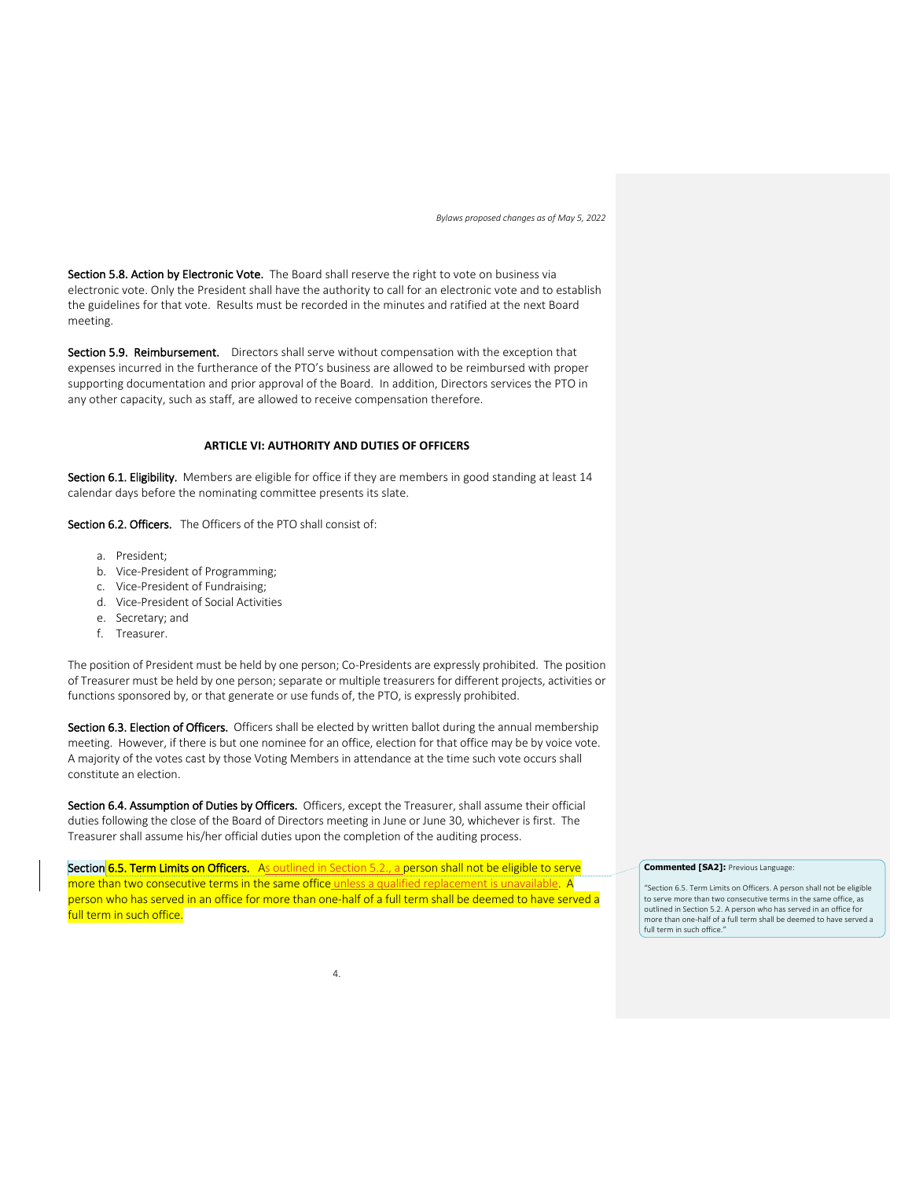Section 5.8. Action by Electronic Vote. The Board shall reserve the right to vote on business via electronic vote. Only the President shall have the authority to call for an electronic vote and to establish the guidelines for that vote. Results must be recorded in the minutes and ratified at the next Board meeting.

Section 5.9. Reimbursement. Directors shall serve without compensation with the exception that expenses incurred in the furtherance of the PTO's business are allowed to be reimbursed with proper supporting documentation and prior approval of the Board. In addition, Directors services the PTO in any other capacity, such as staff, are allowed to receive compensation therefore.

## **ARTICLE VI: AUTHORITY AND DUTIES OF OFFICERS**

Section 6.1. Eligibility. Members are eligible for office if they are members in good standing at least 14 calendar days before the nominating committee presents its slate.

Section 6.2. Officers. The Officers of the PTO shall consist of:

- a. President;
- b. Vice-President of Programming;
- c. Vice-President of Fundraising;
- d. Vice-President of Social Activities
- e. Secretary; and
- f. Treasurer.

The position of President must be held by one person; Co-Presidents are expressly prohibited. The position of Treasurer must be held by one person; separate or multiple treasurers for different projects, activities or functions sponsored by, or that generate or use funds of, the PTO, is expressly prohibited.

Section 6.3. Election of Officers. Officers shall be elected by written ballot during the annual membership meeting. However, if there is but one nominee for an office, election for that office may be by voice vote. A majority of the votes cast by those Voting Members in attendance at the time such vote occurs shall constitute an election.

Section 6.4. Assumption of Duties by Officers. Officers, except the Treasurer, shall assume their official duties following the close of the Board of Directors meeting in June or June 30, whichever is first. The Treasurer shall assume his/her official duties upon the completion of the auditing process.

Section 6.5. Term Limits on Officers. As outlined in Section 5.2., a person shall not be eligible to serve more than two consecutive terms in the same office unless a qualified replacement is unavailable. A person who has served in an office for more than one-half of a full term shall be deemed to have served a full term in such office.

#### **Commented [SA2]:** Previous Language:

"Section 6.5. Term Limits on Officers. A person shall not be eligible to serve more than two consecutive terms in the same office, as outlined in Section 5.2. A person who has served in an office for more than one-half of a full term shall be deemed to have served a full term in such office."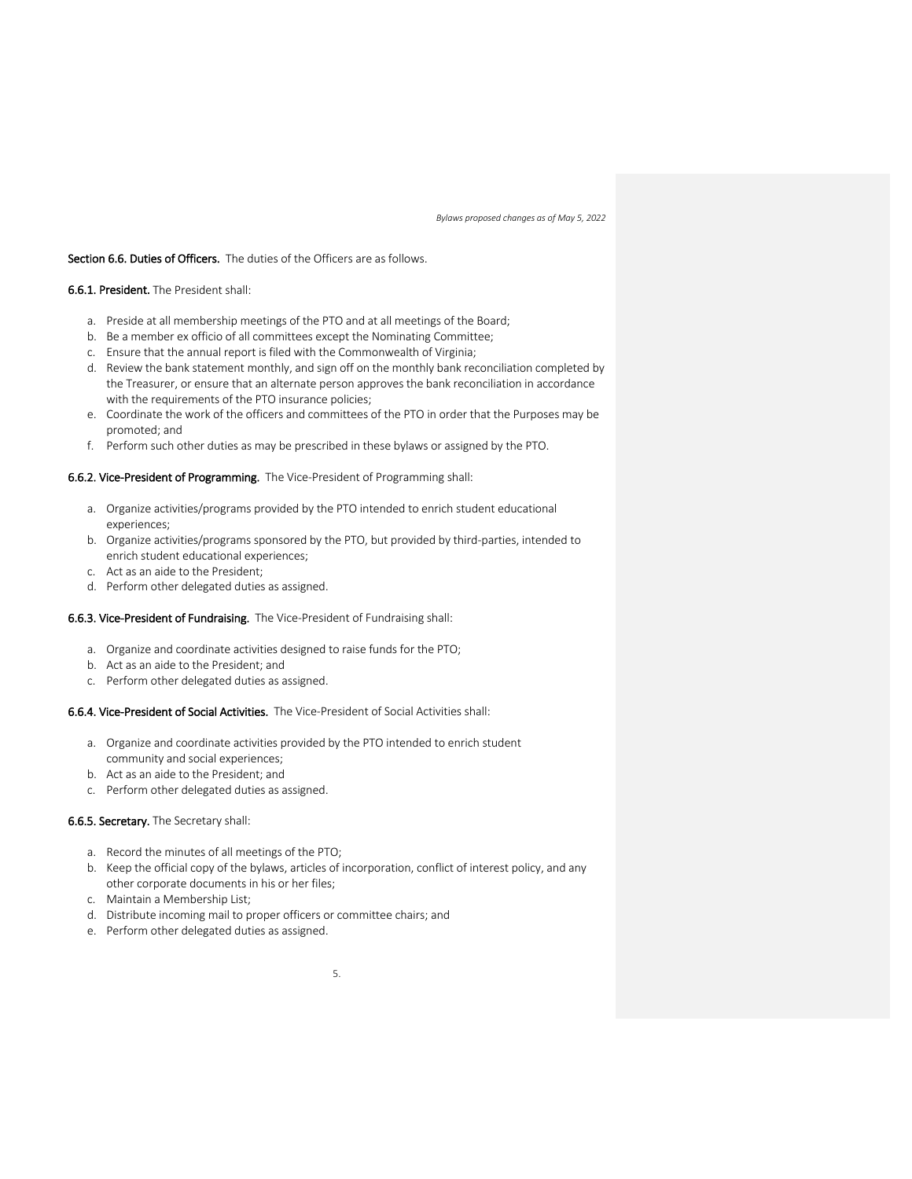### Section 6.6. Duties of Officers. The duties of the Officers are as follows.

### 6.6.1. President. The President shall:

- a. Preside at all membership meetings of the PTO and at all meetings of the Board;
- b. Be a member ex officio of all committees except the Nominating Committee;
- c. Ensure that the annual report is filed with the Commonwealth of Virginia;
- d. Review the bank statement monthly, and sign off on the monthly bank reconciliation completed by the Treasurer, or ensure that an alternate person approves the bank reconciliation in accordance with the requirements of the PTO insurance policies;
- e. Coordinate the work of the officers and committees of the PTO in order that the Purposes may be promoted; and
- f. Perform such other duties as may be prescribed in these bylaws or assigned by the PTO.

## 6.6.2. Vice-President of Programming. The Vice-President of Programming shall:

- a. Organize activities/programs provided by the PTO intended to enrich student educational experiences;
- b. Organize activities/programs sponsored by the PTO, but provided by third-parties, intended to enrich student educational experiences;
- c. Act as an aide to the President;
- d. Perform other delegated duties as assigned.

### 6.6.3. Vice-President of Fundraising. The Vice-President of Fundraising shall:

- a. Organize and coordinate activities designed to raise funds for the PTO;
- b. Act as an aide to the President; and
- c. Perform other delegated duties as assigned.

# 6.6.4. Vice-President of Social Activities. The Vice-President of Social Activities shall:

- a. Organize and coordinate activities provided by the PTO intended to enrich student community and social experiences;
- b. Act as an aide to the President; and
- c. Perform other delegated duties as assigned.

### 6.6.5. Secretary. The Secretary shall:

- a. Record the minutes of all meetings of the PTO;
- b. Keep the official copy of the bylaws, articles of incorporation, conflict of interest policy, and any other corporate documents in his or her files;
- c. Maintain a Membership List;
- d. Distribute incoming mail to proper officers or committee chairs; and
- e. Perform other delegated duties as assigned.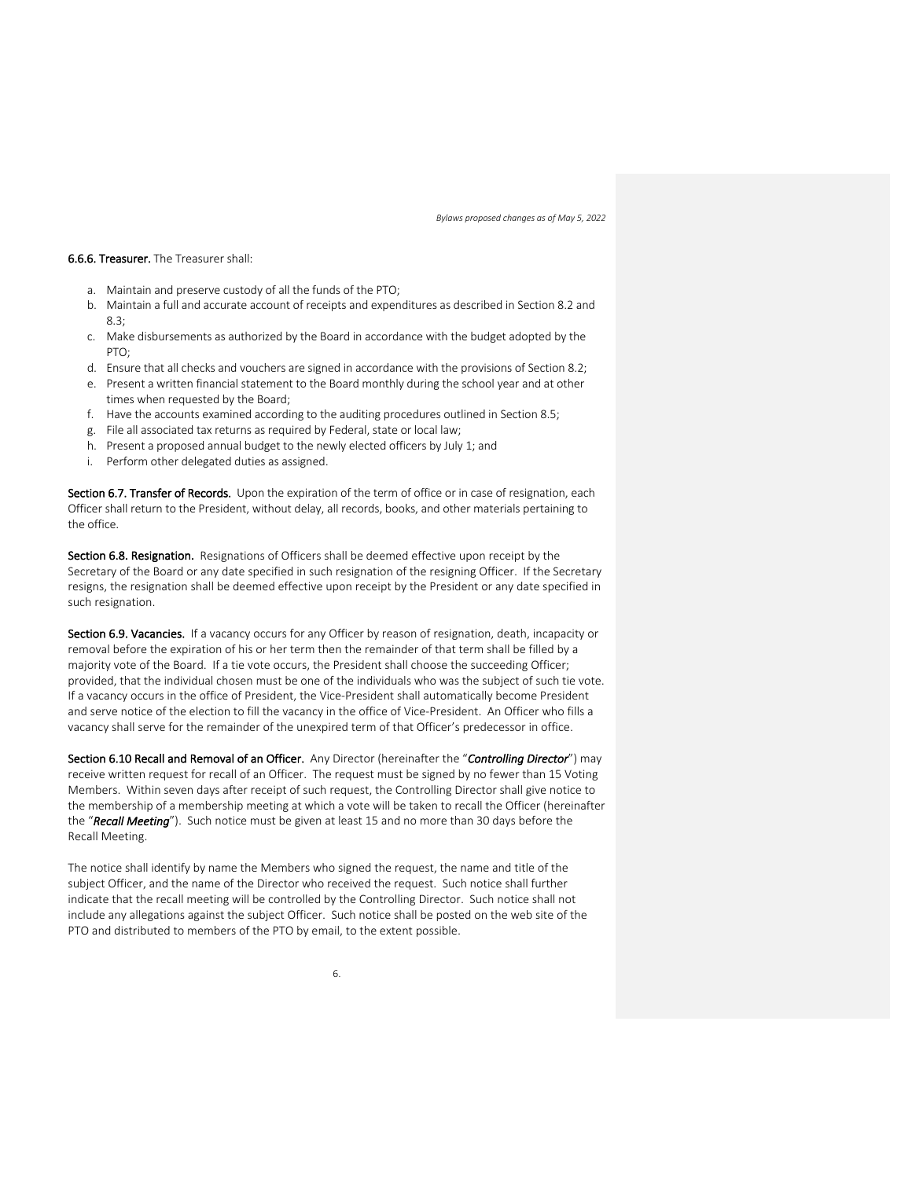#### 6.6.6. Treasurer. The Treasurer shall:

- a. Maintain and preserve custody of all the funds of the PTO;
- b. Maintain a full and accurate account of receipts and expenditures as described in Section 8.2 and 8.3;
- c. Make disbursements as authorized by the Board in accordance with the budget adopted by the PTO:
- d. Ensure that all checks and vouchers are signed in accordance with the provisions of Section 8.2;
- e. Present a written financial statement to the Board monthly during the school year and at other times when requested by the Board;
- f. Have the accounts examined according to the auditing procedures outlined in Section 8.5;
- g. File all associated tax returns as required by Federal, state or local law;
- h. Present a proposed annual budget to the newly elected officers by July 1; and
- i. Perform other delegated duties as assigned.

Section 6.7. Transfer of Records. Upon the expiration of the term of office or in case of resignation, each Officer shall return to the President, without delay, all records, books, and other materials pertaining to the office.

Section 6.8. Resignation. Resignations of Officers shall be deemed effective upon receipt by the Secretary of the Board or any date specified in such resignation of the resigning Officer. If the Secretary resigns, the resignation shall be deemed effective upon receipt by the President or any date specified in such resignation.

Section 6.9. Vacancies. If a vacancy occurs for any Officer by reason of resignation, death, incapacity or removal before the expiration of his or her term then the remainder of that term shall be filled by a majority vote of the Board. If a tie vote occurs, the President shall choose the succeeding Officer; provided, that the individual chosen must be one of the individuals who was the subject of such tie vote. If a vacancy occurs in the office of President, the Vice-President shall automatically become President and serve notice of the election to fill the vacancy in the office of Vice-President. An Officer who fills a vacancy shall serve for the remainder of the unexpired term of that Officer's predecessor in office.

Section 6.10 Recall and Removal of an Officer. Any Director (hereinafter the "*Controlling Director*") may receive written request for recall of an Officer. The request must be signed by no fewer than 15 Voting Members. Within seven days after receipt of such request, the Controlling Director shall give notice to the membership of a membership meeting at which a vote will be taken to recall the Officer (hereinafter the "*Recall Meeting*"). Such notice must be given at least 15 and no more than 30 days before the Recall Meeting.

The notice shall identify by name the Members who signed the request, the name and title of the subject Officer, and the name of the Director who received the request. Such notice shall further indicate that the recall meeting will be controlled by the Controlling Director. Such notice shall not include any allegations against the subject Officer. Such notice shall be posted on the web site of the PTO and distributed to members of the PTO by email, to the extent possible.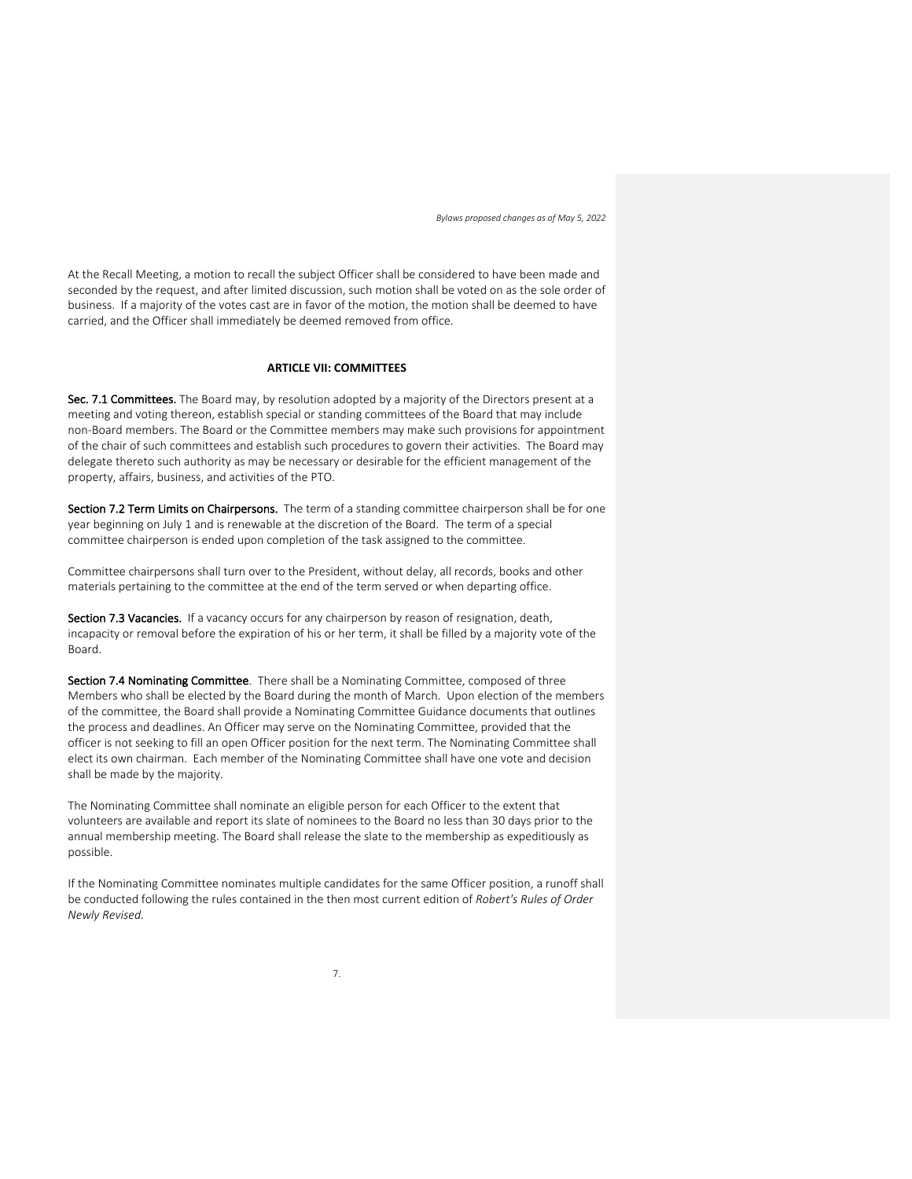At the Recall Meeting, a motion to recall the subject Officer shall be considered to have been made and seconded by the request, and after limited discussion, such motion shall be voted on as the sole order of business. If a majority of the votes cast are in favor of the motion, the motion shall be deemed to have carried, and the Officer shall immediately be deemed removed from office.

## **ARTICLE VII: COMMITTEES**

Sec. 7.1 Committees. The Board may, by resolution adopted by a majority of the Directors present at a meeting and voting thereon, establish special or standing committees of the Board that may include non-Board members. The Board or the Committee members may make such provisions for appointment of the chair of such committees and establish such procedures to govern their activities. The Board may delegate thereto such authority as may be necessary or desirable for the efficient management of the property, affairs, business, and activities of the PTO.

Section 7.2 Term Limits on Chairpersons. The term of a standing committee chairperson shall be for one year beginning on July 1 and is renewable at the discretion of the Board. The term of a special committee chairperson is ended upon completion of the task assigned to the committee.

Committee chairpersons shall turn over to the President, without delay, all records, books and other materials pertaining to the committee at the end of the term served or when departing office.

Section 7.3 Vacancies. If a vacancy occurs for any chairperson by reason of resignation, death, incapacity or removal before the expiration of his or her term, it shall be filled by a majority vote of the Board.

Section 7.4 Nominating Committee. There shall be a Nominating Committee, composed of three Members who shall be elected by the Board during the month of March. Upon election of the members of the committee, the Board shall provide a Nominating Committee Guidance documents that outlines the process and deadlines. An Officer may serve on the Nominating Committee, provided that the officer is not seeking to fill an open Officer position for the next term. The Nominating Committee shall elect its own chairman. Each member of the Nominating Committee shall have one vote and decision shall be made by the majority.

The Nominating Committee shall nominate an eligible person for each Officer to the extent that volunteers are available and report its slate of nominees to the Board no less than 30 days prior to the annual membership meeting. The Board shall release the slate to the membership as expeditiously as possible.

If the Nominating Committee nominates multiple candidates for the same Officer position, a runoff shall be conducted following the rules contained in the then most current edition of *Robert's Rules of Order Newly Revised.*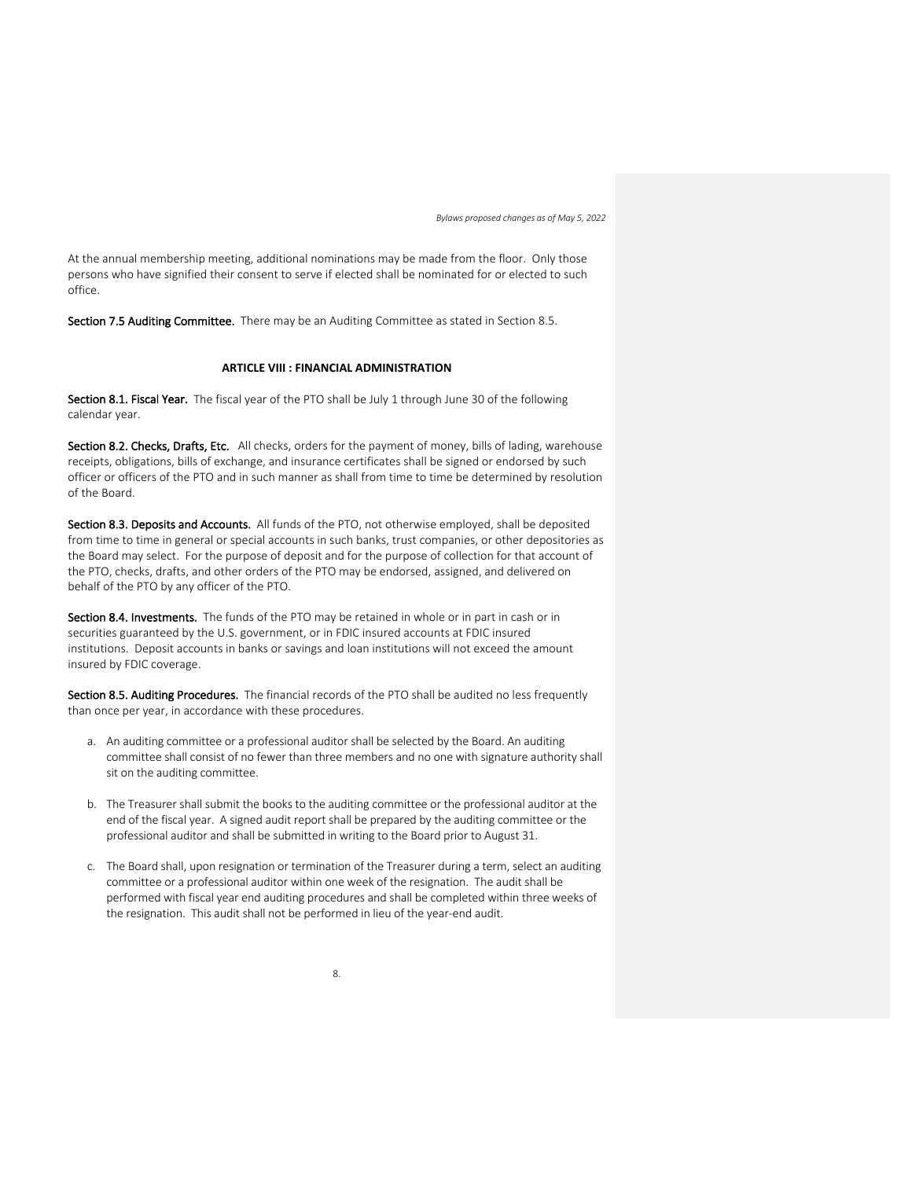At the annual membership meeting, additional nominations may be made from the floor. Only those persons who have signified their consent to serve if elected shall be nominated for or elected to such office.

Section 7.5 Auditing Committee. There may be an Auditing Committee as stated in Section 8.5.

## **ARTICLE VIII : FINANCIAL ADMINISTRATION**

Section 8.1. Fiscal Year. The fiscal year of the PTO shall be July 1 through June 30 of the following calendar year.

Section 8.2. Checks, Drafts, Etc. All checks, orders for the payment of money, bills of lading, warehouse receipts, obligations, bills of exchange, and insurance certificates shall be signed or endorsed by such officer or officers of the PTO and in such manner as shall from time to time be determined by resolution of the Board.

Section 8.3. Deposits and Accounts. All funds of the PTO, not otherwise employed, shall be deposited from time to time in general or special accounts in such banks, trust companies, or other depositories as the Board may select. For the purpose of deposit and for the purpose of collection for that account of the PTO, checks, drafts, and other orders of the PTO may be endorsed, assigned, and delivered on behalf of the PTO by any officer of the PTO.

Section 8.4. Investments. The funds of the PTO may be retained in whole or in part in cash or in securities guaranteed by the U.S. government, or in FDIC insured accounts at FDIC insured institutions. Deposit accounts in banks or savings and loan institutions will not exceed the amount insured by FDIC coverage.

Section 8.5. Auditing Procedures. The financial records of the PTO shall be audited no less frequently than once per year, in accordance with these procedures.

- a. An auditing committee or a professional auditor shall be selected by the Board. An auditing committee shall consist of no fewer than three members and no one with signature authority shall sit on the auditing committee.
- b. The Treasurer shall submit the books to the auditing committee or the professional auditor at the end of the fiscal year. A signed audit report shall be prepared by the auditing committee or the professional auditor and shall be submitted in writing to the Board prior to August 31.
- c. The Board shall, upon resignation or termination of the Treasurer during a term, select an auditing committee or a professional auditor within one week of the resignation. The audit shall be performed with fiscal year end auditing procedures and shall be completed within three weeks of the resignation. This audit shall not be performed in lieu of the year-end audit.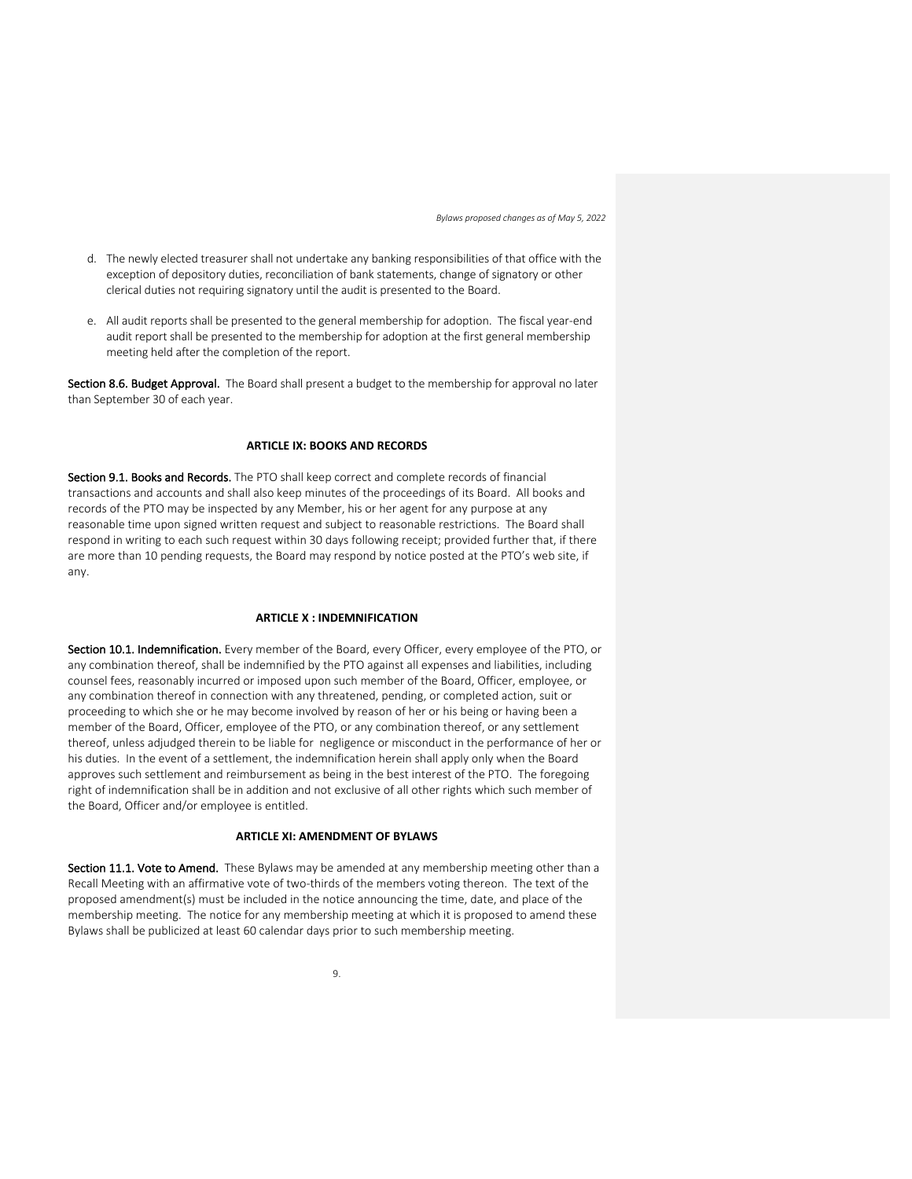- d. The newly elected treasurer shall not undertake any banking responsibilities of that office with the exception of depository duties, reconciliation of bank statements, change of signatory or other clerical duties not requiring signatory until the audit is presented to the Board.
- e. All audit reports shall be presented to the general membership for adoption. The fiscal year-end audit report shall be presented to the membership for adoption at the first general membership meeting held after the completion of the report.

Section 8.6. Budget Approval. The Board shall present a budget to the membership for approval no later than September 30 of each year.

## **ARTICLE IX: BOOKS AND RECORDS**

Section 9.1. Books and Records. The PTO shall keep correct and complete records of financial transactions and accounts and shall also keep minutes of the proceedings of its Board. All books and records of the PTO may be inspected by any Member, his or her agent for any purpose at any reasonable time upon signed written request and subject to reasonable restrictions. The Board shall respond in writing to each such request within 30 days following receipt; provided further that, if there are more than 10 pending requests, the Board may respond by notice posted at the PTO's web site, if any.

## **ARTICLE X : INDEMNIFICATION**

Section 10.1. Indemnification. Every member of the Board, every Officer, every employee of the PTO, or any combination thereof, shall be indemnified by the PTO against all expenses and liabilities, including counsel fees, reasonably incurred or imposed upon such member of the Board, Officer, employee, or any combination thereof in connection with any threatened, pending, or completed action, suit or proceeding to which she or he may become involved by reason of her or his being or having been a member of the Board, Officer, employee of the PTO, or any combination thereof, or any settlement thereof, unless adjudged therein to be liable for negligence or misconduct in the performance of her or his duties. In the event of a settlement, the indemnification herein shall apply only when the Board approves such settlement and reimbursement as being in the best interest of the PTO. The foregoing right of indemnification shall be in addition and not exclusive of all other rights which such member of the Board, Officer and/or employee is entitled.

## **ARTICLE XI: AMENDMENT OF BYLAWS**

Section 11.1. Vote to Amend. These Bylaws may be amended at any membership meeting other than a Recall Meeting with an affirmative vote of two-thirds of the members voting thereon. The text of the proposed amendment(s) must be included in the notice announcing the time, date, and place of the membership meeting. The notice for any membership meeting at which it is proposed to amend these Bylaws shall be publicized at least 60 calendar days prior to such membership meeting.